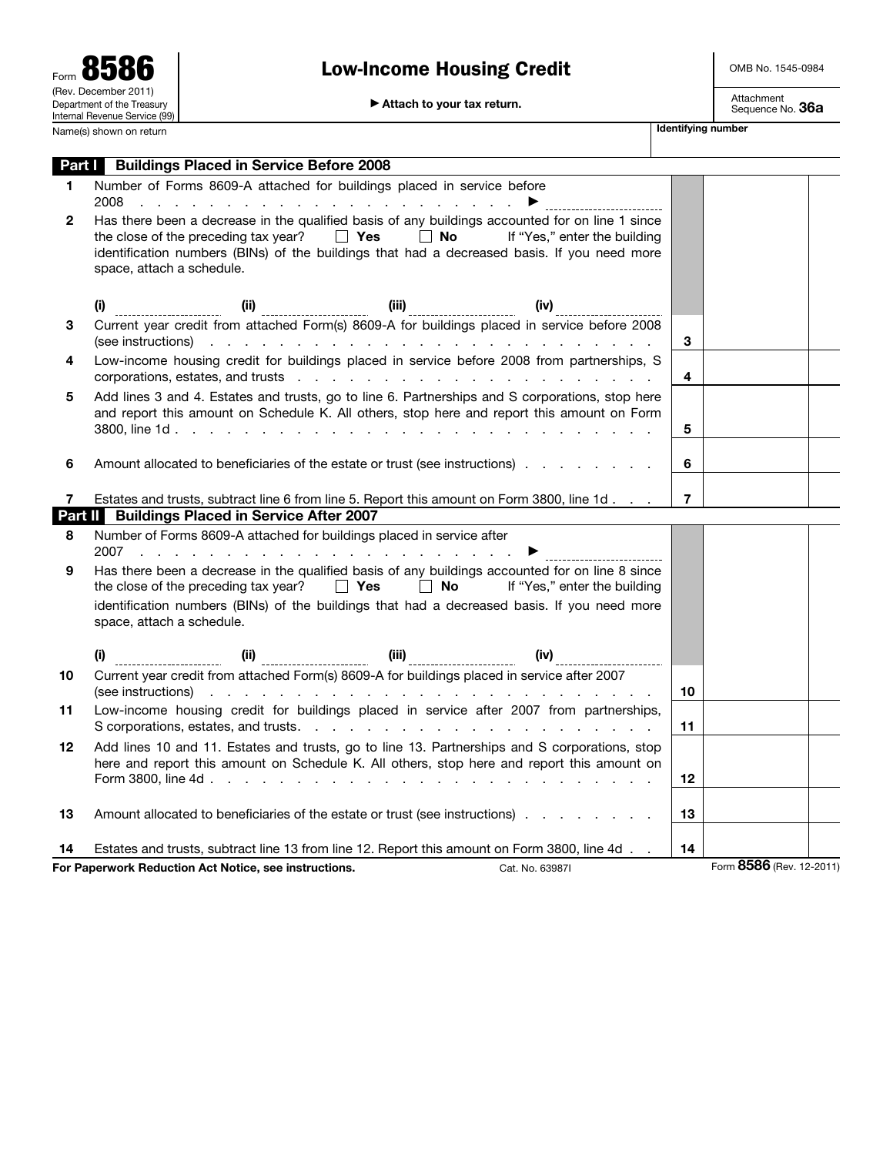OMB No. 1545-0984

▶ Attach to your tax return.

Attachment<br>Sequence No. **36a** 

|              | <b>Part   Buildings Placed in Service Before 2008</b>                                                                                                                                                                                                                                                                         |                |                          |
|--------------|-------------------------------------------------------------------------------------------------------------------------------------------------------------------------------------------------------------------------------------------------------------------------------------------------------------------------------|----------------|--------------------------|
| 1.           | Number of Forms 8609-A attached for buildings placed in service before<br>2008                                                                                                                                                                                                                                                |                |                          |
| $\mathbf{2}$ | Has there been a decrease in the qualified basis of any buildings accounted for on line 1 since<br>the close of the preceding tax year? $\Box$ Yes $\Box$ No If "Yes," enter the building<br>identification numbers (BINs) of the buildings that had a decreased basis. If you need more<br>space, attach a schedule.         |                |                          |
|              | (iv)<br>(i)                                                                                                                                                                                                                                                                                                                   |                |                          |
| 3            | Current year credit from attached Form(s) 8609-A for buildings placed in service before 2008<br>(see instructions) and a series are a series and see instructions) and a series are a series of the series of the series of the series of the series of the series of the series of the series of the series of the series of | 3              |                          |
| 4            | Low-income housing credit for buildings placed in service before 2008 from partnerships, S                                                                                                                                                                                                                                    | 4              |                          |
| 5            | Add lines 3 and 4. Estates and trusts, go to line 6. Partnerships and S corporations, stop here<br>and report this amount on Schedule K. All others, stop here and report this amount on Form                                                                                                                                 | 5              |                          |
| 6            | Amount allocated to beneficiaries of the estate or trust (see instructions)                                                                                                                                                                                                                                                   | 6              |                          |
| 7            | Estates and trusts, subtract line 6 from line 5. Report this amount on Form 3800, line 1d                                                                                                                                                                                                                                     | $\overline{7}$ |                          |
|              | Part II Buildings Placed in Service After 2007                                                                                                                                                                                                                                                                                |                |                          |
| 8            | Number of Forms 8609-A attached for buildings placed in service after                                                                                                                                                                                                                                                         |                |                          |
| 9            | Has there been a decrease in the qualified basis of any buildings accounted for on line 8 since<br>the close of the preceding tax year? $\Box$ Yes<br>■ No If "Yes," enter the building                                                                                                                                       |                |                          |
|              | identification numbers (BINs) of the buildings that had a decreased basis. If you need more<br>space, attach a schedule.                                                                                                                                                                                                      |                |                          |
|              | (i)                                                                                                                                                                                                                                                                                                                           |                |                          |
| 10           | Current year credit from attached Form(s) 8609-A for buildings placed in service after 2007<br>(see instructions) entertainment and the contract of the contract of the contract of the contract of the contract of the contract of the contract of the contract of the contract of the contract of the contract of the contr | 10             |                          |
| 11           | Low-income housing credit for buildings placed in service after 2007 from partnerships,                                                                                                                                                                                                                                       | 11             |                          |
| 12           | Add lines 10 and 11. Estates and trusts, go to line 13. Partnerships and S corporations, stop<br>here and report this amount on Schedule K. All others, stop here and report this amount on                                                                                                                                   | 12             |                          |
| 13           | Amount allocated to beneficiaries of the estate or trust (see instructions)                                                                                                                                                                                                                                                   | 13             |                          |
| 14           | Estates and trusts, subtract line 13 from line 12. Report this amount on Form 3800, line 4d                                                                                                                                                                                                                                   | 14             |                          |
|              | For Paperwork Reduction Act Notice, see instructions.<br>Cat. No. 63987I                                                                                                                                                                                                                                                      |                | Form 8586 (Rev. 12-2011) |